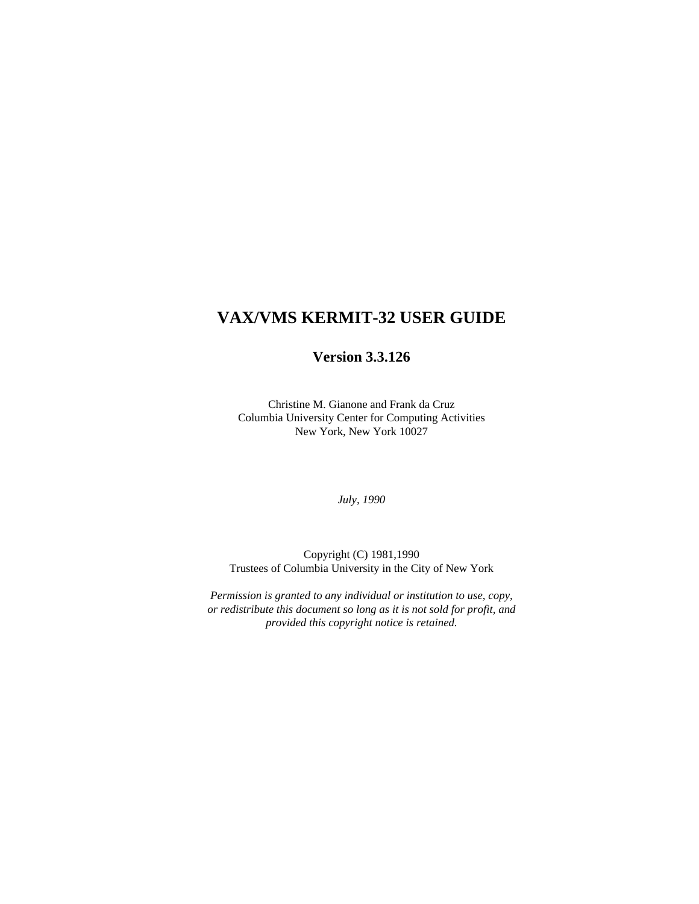# **VAX/VMS KERMIT-32 USER GUIDE**

# **Version 3.3.126**

Christine M. Gianone and Frank da Cruz Columbia University Center for Computing Activities New York, New York 10027

*July, 1990*

Copyright (C) 1981,1990 Trustees of Columbia University in the City of New York

*Permission is granted to any individual or institution to use, copy, or redistribute this document so long as it is not sold for profit, and provided this copyright notice is retained.*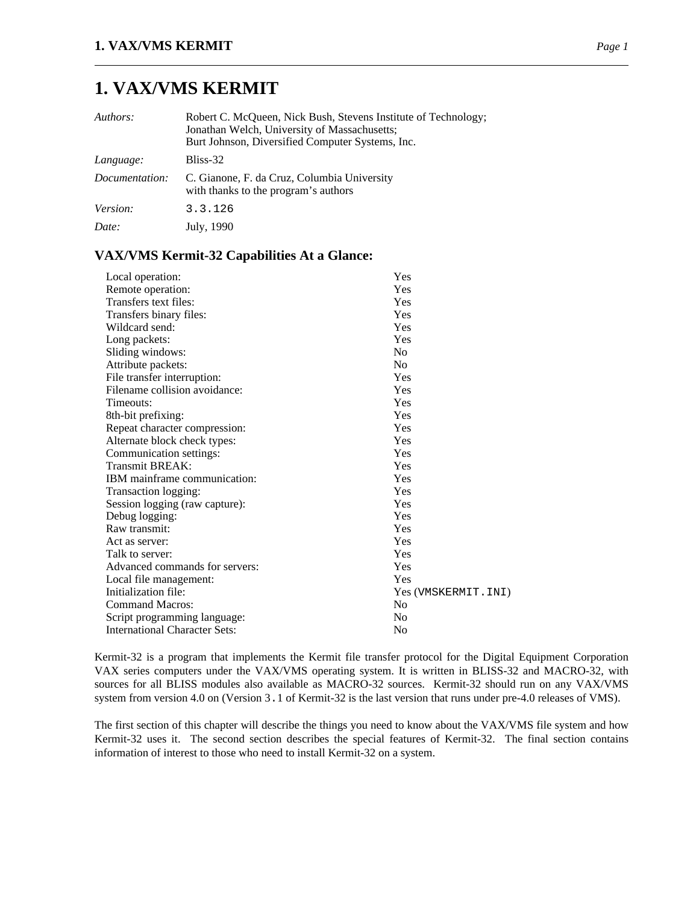# **1. VAX/VMS KERMIT**

| Authors:       | Robert C. McQueen, Nick Bush, Stevens Institute of Technology;<br>Jonathan Welch, University of Massachusetts;<br>Burt Johnson, Diversified Computer Systems, Inc. |
|----------------|--------------------------------------------------------------------------------------------------------------------------------------------------------------------|
| Language:      | Bliss-32                                                                                                                                                           |
| Documentation: | C. Gianone, F. da Cruz, Columbia University<br>with thanks to the program's authors                                                                                |
| Version:       | 3.3.126                                                                                                                                                            |
| Date:          | July, 1990                                                                                                                                                         |

### **VAX/VMS Kermit-32 Capabilities At a Glance:**

| Local operation:                     | Yes                  |
|--------------------------------------|----------------------|
| Remote operation:                    | Yes                  |
| Transfers text files:                | Yes                  |
| Transfers binary files:              | Yes                  |
| Wildcard send:                       | Yes                  |
| Long packets:                        | Yes                  |
| Sliding windows:                     | N <sub>0</sub>       |
| Attribute packets:                   | No.                  |
| File transfer interruption:          | Yes                  |
| Filename collision avoidance:        | Yes                  |
| Timeouts:                            | Yes                  |
| 8th-bit prefixing:                   | Yes                  |
| Repeat character compression:        | Yes                  |
| Alternate block check types:         | Yes                  |
| Communication settings:              | Yes                  |
| Transmit BREAK:                      | Yes                  |
| IBM mainframe communication:         | Yes                  |
| Transaction logging:                 | Yes                  |
| Session logging (raw capture):       | Yes                  |
| Debug logging:                       | Yes                  |
| Raw transmit:                        | Yes                  |
| Act as server:                       | Yes                  |
| Talk to server:                      | Yes                  |
| Advanced commands for servers:       | Yes                  |
| Local file management:               | Yes                  |
| Initialization file:                 | Yes (VMSKERMIT. INI) |
| <b>Command Macros:</b>               | N <sub>0</sub>       |
| Script programming language:         | No                   |
| <b>International Character Sets:</b> | No                   |

Kermit-32 is a program that implements the Kermit file transfer protocol for the Digital Equipment Corporation VAX series computers under the VAX/VMS operating system. It is written in BLISS-32 and MACRO-32, with sources for all BLISS modules also available as MACRO-32 sources. Kermit-32 should run on any VAX/VMS system from version 4.0 on (Version 3.1 of Kermit-32 is the last version that runs under pre-4.0 releases of VMS).

The first section of this chapter will describe the things you need to know about the VAX/VMS file system and how Kermit-32 uses it. The second section describes the special features of Kermit-32. The final section contains information of interest to those who need to install Kermit-32 on a system.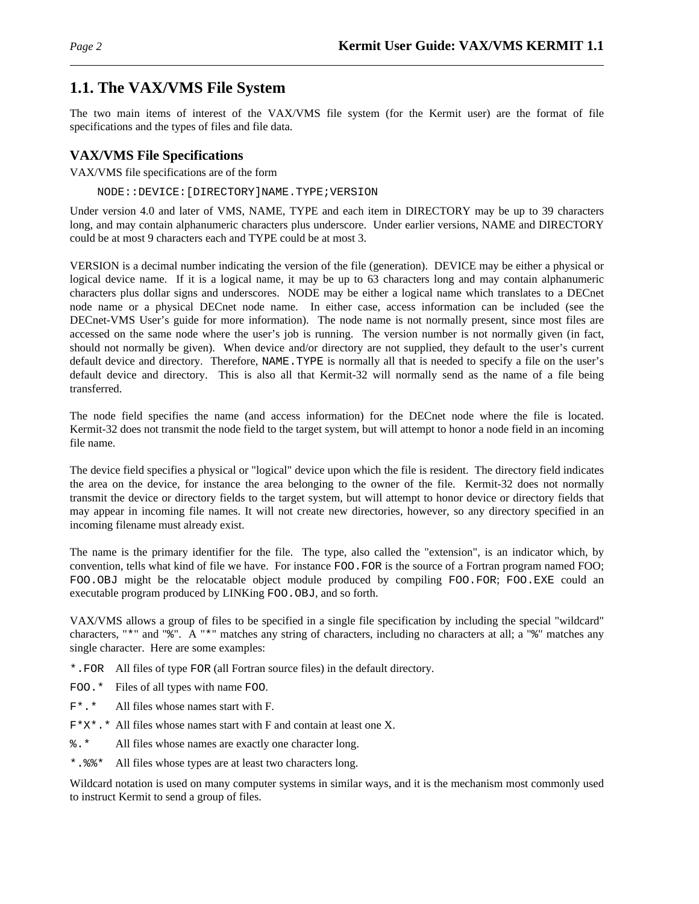# **1.1. The VAX/VMS File System**

The two main items of interest of the VAX/VMS file system (for the Kermit user) are the format of file specifications and the types of files and file data.

# **VAX/VMS File Specifications**

VAX/VMS file specifications are of the form

NODE::DEVICE:[DIRECTORY]NAME.TYPE;VERSION

Under version 4.0 and later of VMS, NAME, TYPE and each item in DIRECTORY may be up to 39 characters long, and may contain alphanumeric characters plus underscore. Under earlier versions, NAME and DIRECTORY could be at most 9 characters each and TYPE could be at most 3.

VERSION is a decimal number indicating the version of the file (generation). DEVICE may be either a physical or logical device name. If it is a logical name, it may be up to 63 characters long and may contain alphanumeric characters plus dollar signs and underscores. NODE may be either a logical name which translates to a DECnet node name or a physical DECnet node name. In either case, access information can be included (see the DECnet-VMS User's guide for more information). The node name is not normally present, since most files are accessed on the same node where the user's job is running. The version number is not normally given (in fact, should not normally be given). When device and/or directory are not supplied, they default to the user's current default device and directory. Therefore, NAME.TYPE is normally all that is needed to specify a file on the user's default device and directory. This is also all that Kermit-32 will normally send as the name of a file being transferred.

The node field specifies the name (and access information) for the DECnet node where the file is located. Kermit-32 does not transmit the node field to the target system, but will attempt to honor a node field in an incoming file name.

The device field specifies a physical or "logical" device upon which the file is resident. The directory field indicates the area on the device, for instance the area belonging to the owner of the file. Kermit-32 does not normally transmit the device or directory fields to the target system, but will attempt to honor device or directory fields that may appear in incoming file names. It will not create new directories, however, so any directory specified in an incoming filename must already exist.

The name is the primary identifier for the file. The type, also called the "extension", is an indicator which, by convention, tells what kind of file we have. For instance FOO.FOR is the source of a Fortran program named FOO; FOO.OBJ might be the relocatable object module produced by compiling FOO.FOR; FOO.EXE could an executable program produced by LINKing FOO.OBJ, and so forth.

VAX/VMS allows a group of files to be specified in a single file specification by including the special "wildcard" characters, "\*" and "%". A "\*" matches any string of characters, including no characters at all; a "%" matches any single character. Here are some examples:

- \*.FOR All files of type FOR (all Fortran source files) in the default directory.
- FOO.\* Files of all types with name FOO.
- F\*.\* All files whose names start with F.
- F\*X\*.\* All files whose names start with F and contain at least one X.
- %.\* All files whose names are exactly one character long.
- \*.%%\* All files whose types are at least two characters long.

Wildcard notation is used on many computer systems in similar ways, and it is the mechanism most commonly used to instruct Kermit to send a group of files.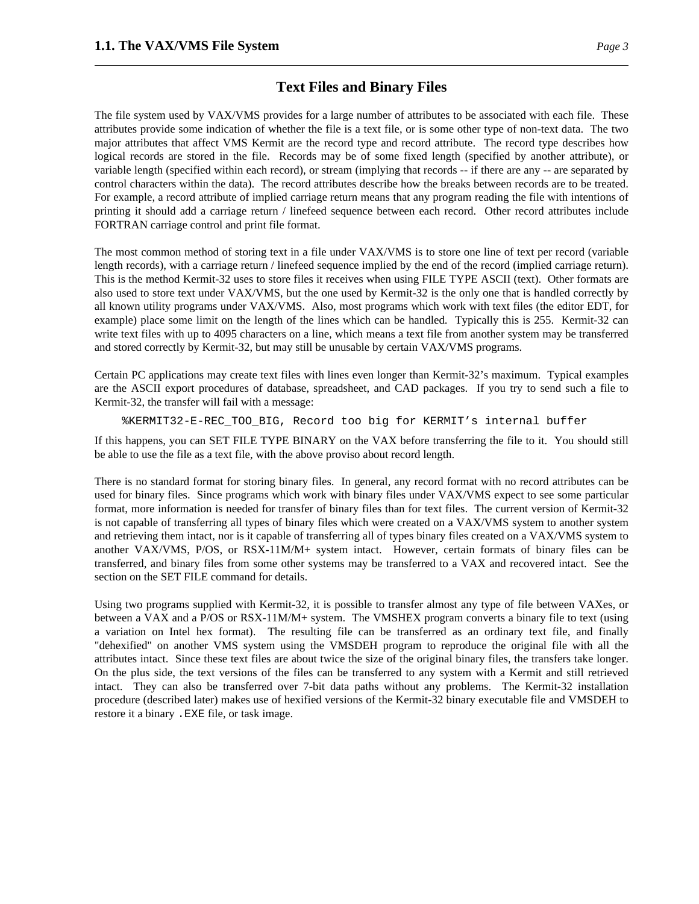The file system used by VAX/VMS provides for a large number of attributes to be associated with each file. These attributes provide some indication of whether the file is a text file, or is some other type of non-text data. The two major attributes that affect VMS Kermit are the record type and record attribute. The record type describes how logical records are stored in the file. Records may be of some fixed length (specified by another attribute), or variable length (specified within each record), or stream (implying that records -- if there are any -- are separated by control characters within the data). The record attributes describe how the breaks between records are to be treated. For example, a record attribute of implied carriage return means that any program reading the file with intentions of printing it should add a carriage return / linefeed sequence between each record. Other record attributes include FORTRAN carriage control and print file format.

The most common method of storing text in a file under VAX/VMS is to store one line of text per record (variable length records), with a carriage return / linefeed sequence implied by the end of the record (implied carriage return). This is the method Kermit-32 uses to store files it receives when using FILE TYPE ASCII (text). Other formats are also used to store text under VAX/VMS, but the one used by Kermit-32 is the only one that is handled correctly by all known utility programs under VAX/VMS. Also, most programs which work with text files (the editor EDT, for example) place some limit on the length of the lines which can be handled. Typically this is 255. Kermit-32 can write text files with up to 4095 characters on a line, which means a text file from another system may be transferred and stored correctly by Kermit-32, but may still be unusable by certain VAX/VMS programs.

Certain PC applications may create text files with lines even longer than Kermit-32's maximum. Typical examples are the ASCII export procedures of database, spreadsheet, and CAD packages. If you try to send such a file to Kermit-32, the transfer will fail with a message:

%KERMIT32-E-REC\_TOO\_BIG, Record too big for KERMIT's internal buffer

If this happens, you can SET FILE TYPE BINARY on the VAX before transferring the file to it. You should still be able to use the file as a text file, with the above proviso about record length.

There is no standard format for storing binary files. In general, any record format with no record attributes can be used for binary files. Since programs which work with binary files under VAX/VMS expect to see some particular format, more information is needed for transfer of binary files than for text files. The current version of Kermit-32 is not capable of transferring all types of binary files which were created on a VAX/VMS system to another system and retrieving them intact, nor is it capable of transferring all of types binary files created on a VAX/VMS system to another VAX/VMS, P/OS, or RSX-11M/M+ system intact. However, certain formats of binary files can be transferred, and binary files from some other systems may be transferred to a VAX and recovered intact. See the section on the SET FILE command for details.

Using two programs supplied with Kermit-32, it is possible to transfer almost any type of file between VAXes, or between a VAX and a P/OS or RSX-11M/M+ system. The VMSHEX program converts a binary file to text (using a variation on Intel hex format). The resulting file can be transferred as an ordinary text file, and finally "dehexified" on another VMS system using the VMSDEH program to reproduce the original file with all the attributes intact. Since these text files are about twice the size of the original binary files, the transfers take longer. On the plus side, the text versions of the files can be transferred to any system with a Kermit and still retrieved intact. They can also be transferred over 7-bit data paths without any problems. The Kermit-32 installation procedure (described later) makes use of hexified versions of the Kermit-32 binary executable file and VMSDEH to restore it a binary .EXE file, or task image.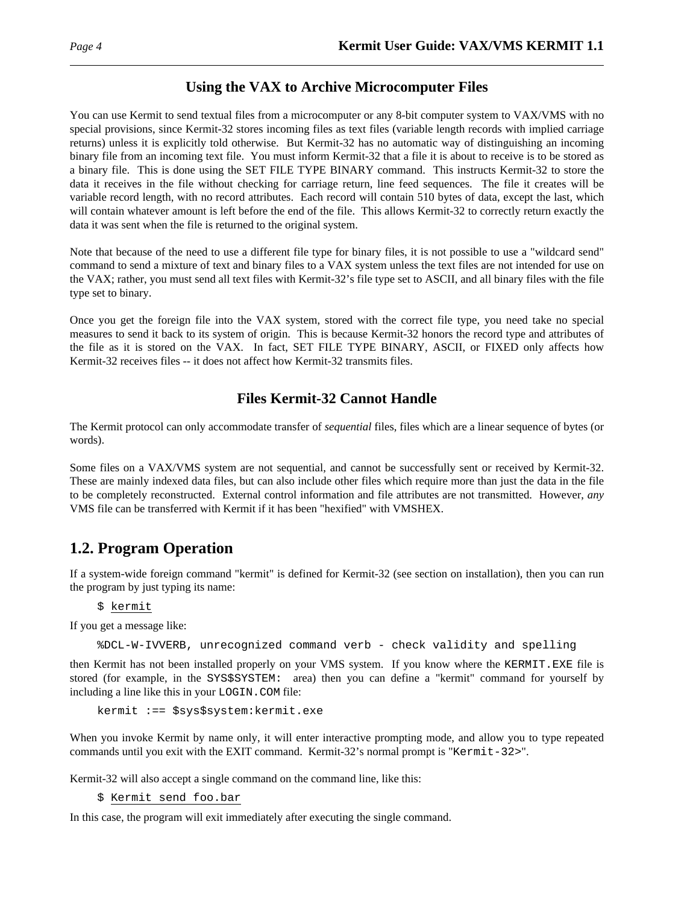# **Using the VAX to Archive Microcomputer Files**

You can use Kermit to send textual files from a microcomputer or any 8-bit computer system to VAX/VMS with no special provisions, since Kermit-32 stores incoming files as text files (variable length records with implied carriage returns) unless it is explicitly told otherwise. But Kermit-32 has no automatic way of distinguishing an incoming binary file from an incoming text file. You must inform Kermit-32 that a file it is about to receive is to be stored as a binary file. This is done using the SET FILE TYPE BINARY command. This instructs Kermit-32 to store the data it receives in the file without checking for carriage return, line feed sequences. The file it creates will be variable record length, with no record attributes. Each record will contain 510 bytes of data, except the last, which will contain whatever amount is left before the end of the file. This allows Kermit-32 to correctly return exactly the data it was sent when the file is returned to the original system.

Note that because of the need to use a different file type for binary files, it is not possible to use a "wildcard send" command to send a mixture of text and binary files to a VAX system unless the text files are not intended for use on the VAX; rather, you must send all text files with Kermit-32's file type set to ASCII, and all binary files with the file type set to binary.

Once you get the foreign file into the VAX system, stored with the correct file type, you need take no special measures to send it back to its system of origin. This is because Kermit-32 honors the record type and attributes of the file as it is stored on the VAX. In fact, SET FILE TYPE BINARY, ASCII, or FIXED only affects how Kermit-32 receives files -- it does not affect how Kermit-32 transmits files.

# **Files Kermit-32 Cannot Handle**

The Kermit protocol can only accommodate transfer of *sequential* files, files which are a linear sequence of bytes (or words).

Some files on a VAX/VMS system are not sequential, and cannot be successfully sent or received by Kermit-32. These are mainly indexed data files, but can also include other files which require more than just the data in the file to be completely reconstructed. External control information and file attributes are not transmitted. However, *any* VMS file can be transferred with Kermit if it has been "hexified" with VMSHEX.

# **1.2. Program Operation**

If a system-wide foreign command "kermit" is defined for Kermit-32 (see section on installation), then you can run the program by just typing its name:

\$ kermit

If you get a message like:

%DCL-W-IVVERB, unrecognized command verb - check validity and spelling

then Kermit has not been installed properly on your VMS system. If you know where the KERMIT.EXE file is stored (for example, in the SYS\$SYSTEM: area) then you can define a "kermit" command for yourself by including a line like this in your LOGIN.COM file:

```
kermit :== $sys$system:kermit.exe
```
When you invoke Kermit by name only, it will enter interactive prompting mode, and allow you to type repeated commands until you exit with the EXIT command. Kermit-32's normal prompt is "Kermit-32>".

Kermit-32 will also accept a single command on the command line, like this:

\$ Kermit send foo.bar

In this case, the program will exit immediately after executing the single command.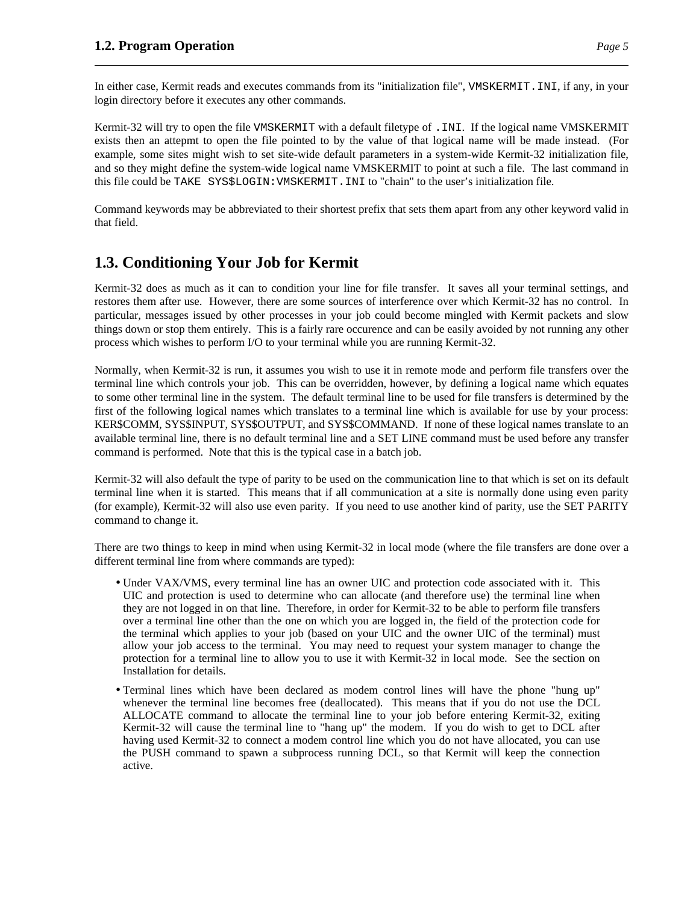In either case, Kermit reads and executes commands from its "initialization file", VMSKERMIT.INI, if any, in your login directory before it executes any other commands.

Kermit-32 will try to open the file VMSKERMIT with a default filetype of . INI. If the logical name VMSKERMIT exists then an attepmt to open the file pointed to by the value of that logical name will be made instead. (For example, some sites might wish to set site-wide default parameters in a system-wide Kermit-32 initialization file, and so they might define the system-wide logical name VMSKERMIT to point at such a file. The last command in this file could be TAKE SYS\$LOGIN:VMSKERMIT.INI to "chain" to the user's initialization file.

Command keywords may be abbreviated to their shortest prefix that sets them apart from any other keyword valid in that field.

# **1.3. Conditioning Your Job for Kermit**

Kermit-32 does as much as it can to condition your line for file transfer. It saves all your terminal settings, and restores them after use. However, there are some sources of interference over which Kermit-32 has no control. In particular, messages issued by other processes in your job could become mingled with Kermit packets and slow things down or stop them entirely. This is a fairly rare occurence and can be easily avoided by not running any other process which wishes to perform I/O to your terminal while you are running Kermit-32.

Normally, when Kermit-32 is run, it assumes you wish to use it in remote mode and perform file transfers over the terminal line which controls your job. This can be overridden, however, by defining a logical name which equates to some other terminal line in the system. The default terminal line to be used for file transfers is determined by the first of the following logical names which translates to a terminal line which is available for use by your process: KER\$COMM, SYS\$INPUT, SYS\$OUTPUT, and SYS\$COMMAND. If none of these logical names translate to an available terminal line, there is no default terminal line and a SET LINE command must be used before any transfer command is performed. Note that this is the typical case in a batch job.

Kermit-32 will also default the type of parity to be used on the communication line to that which is set on its default terminal line when it is started. This means that if all communication at a site is normally done using even parity (for example), Kermit-32 will also use even parity. If you need to use another kind of parity, use the SET PARITY command to change it.

There are two things to keep in mind when using Kermit-32 in local mode (where the file transfers are done over a different terminal line from where commands are typed):

- Under VAX/VMS, every terminal line has an owner UIC and protection code associated with it. This UIC and protection is used to determine who can allocate (and therefore use) the terminal line when they are not logged in on that line. Therefore, in order for Kermit-32 to be able to perform file transfers over a terminal line other than the one on which you are logged in, the field of the protection code for the terminal which applies to your job (based on your UIC and the owner UIC of the terminal) must allow your job access to the terminal. You may need to request your system manager to change the protection for a terminal line to allow you to use it with Kermit-32 in local mode. See the section on Installation for details.
- Terminal lines which have been declared as modem control lines will have the phone "hung up" whenever the terminal line becomes free (deallocated). This means that if you do not use the DCL ALLOCATE command to allocate the terminal line to your job before entering Kermit-32, exiting Kermit-32 will cause the terminal line to "hang up" the modem. If you do wish to get to DCL after having used Kermit-32 to connect a modem control line which you do not have allocated, you can use the PUSH command to spawn a subprocess running DCL, so that Kermit will keep the connection active.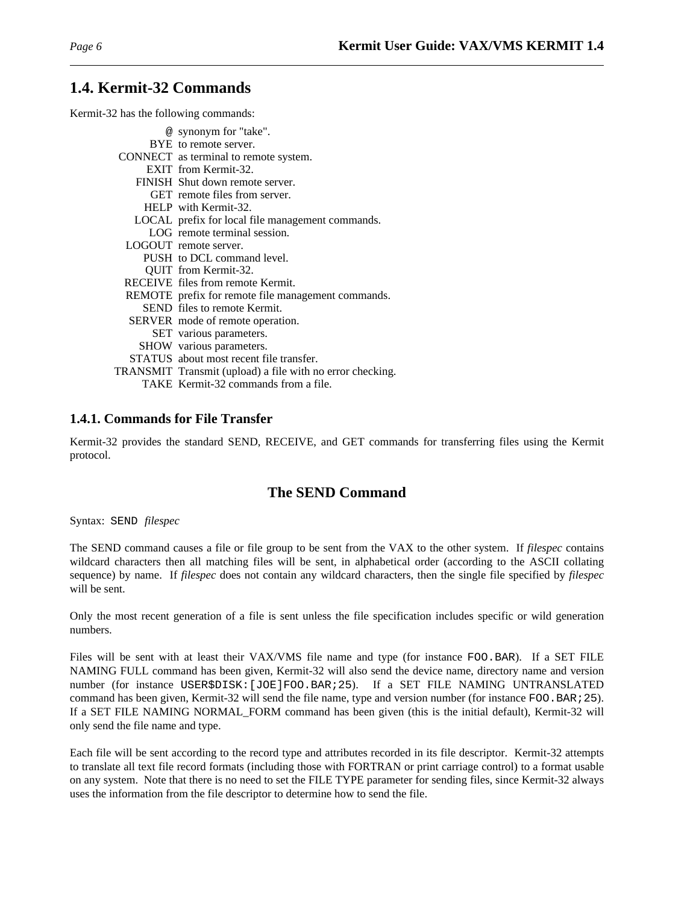# **1.4. Kermit-32 Commands**

Kermit-32 has the following commands:

| @ synonym for "take".                                     |
|-----------------------------------------------------------|
| BYE to remote server.                                     |
| CONNECT as terminal to remote system.                     |
| EXIT from Kermit-32.                                      |
| FINISH Shut down remote server.                           |
| GET remote files from server.                             |
| HELP with Kermit-32.                                      |
| LOCAL prefix for local file management commands.          |
| LOG remote terminal session.                              |
| LOGOUT remote server.                                     |
| PUSH to DCL command level.                                |
| QUIT from Kermit-32.                                      |
| RECEIVE files from remote Kermit.                         |
| REMOTE prefix for remote file management commands.        |
| SEND files to remote Kermit.                              |
| SERVER mode of remote operation.                          |
| SET various parameters.                                   |
| SHOW various parameters.                                  |
| STATUS about most recent file transfer.                   |
| TRANSMIT Transmit (upload) a file with no error checking. |
| TAKE Kermit-32 commands from a file.                      |
|                                                           |

### **1.4.1. Commands for File Transfer**

Kermit-32 provides the standard SEND, RECEIVE, and GET commands for transferring files using the Kermit protocol.

# **The SEND Command**

Syntax: SEND *filespec*

The SEND command causes a file or file group to be sent from the VAX to the other system. If *filespec* contains wildcard characters then all matching files will be sent, in alphabetical order (according to the ASCII collating sequence) by name. If *filespec* does not contain any wildcard characters, then the single file specified by *filespec* will be sent.

Only the most recent generation of a file is sent unless the file specification includes specific or wild generation numbers.

Files will be sent with at least their VAX/VMS file name and type (for instance FOO.BAR). If a SET FILE NAMING FULL command has been given, Kermit-32 will also send the device name, directory name and version number (for instance USER\$DISK:[JOE]FOO.BAR;25). If a SET FILE NAMING UNTRANSLATED command has been given, Kermit-32 will send the file name, type and version number (for instance FOO.BAR; 25). If a SET FILE NAMING NORMAL\_FORM command has been given (this is the initial default), Kermit-32 will only send the file name and type.

Each file will be sent according to the record type and attributes recorded in its file descriptor. Kermit-32 attempts to translate all text file record formats (including those with FORTRAN or print carriage control) to a format usable on any system. Note that there is no need to set the FILE TYPE parameter for sending files, since Kermit-32 always uses the information from the file descriptor to determine how to send the file.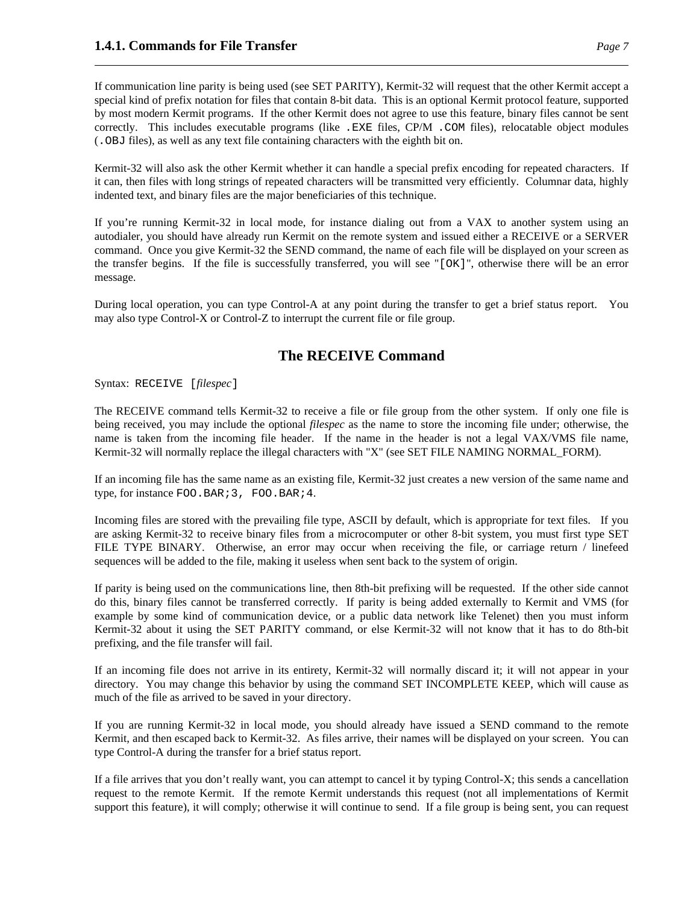If communication line parity is being used (see SET PARITY), Kermit-32 will request that the other Kermit accept a special kind of prefix notation for files that contain 8-bit data. This is an optional Kermit protocol feature, supported by most modern Kermit programs. If the other Kermit does not agree to use this feature, binary files cannot be sent correctly. This includes executable programs (like .EXE files, CP/M .COM files), relocatable object modules (.OBJ files), as well as any text file containing characters with the eighth bit on.

Kermit-32 will also ask the other Kermit whether it can handle a special prefix encoding for repeated characters. If it can, then files with long strings of repeated characters will be transmitted very efficiently. Columnar data, highly indented text, and binary files are the major beneficiaries of this technique.

If you're running Kermit-32 in local mode, for instance dialing out from a VAX to another system using an autodialer, you should have already run Kermit on the remote system and issued either a RECEIVE or a SERVER command. Once you give Kermit-32 the SEND command, the name of each file will be displayed on your screen as the transfer begins. If the file is successfully transferred, you will see "[OK]", otherwise there will be an error message.

During local operation, you can type Control-A at any point during the transfer to get a brief status report. You may also type Control-X or Control-Z to interrupt the current file or file group.

# **The RECEIVE Command**

Syntax: RECEIVE [*filespec*]

The RECEIVE command tells Kermit-32 to receive a file or file group from the other system. If only one file is being received, you may include the optional *filespec* as the name to store the incoming file under; otherwise, the name is taken from the incoming file header. If the name in the header is not a legal VAX/VMS file name, Kermit-32 will normally replace the illegal characters with "X" (see SET FILE NAMING NORMAL\_FORM).

If an incoming file has the same name as an existing file, Kermit-32 just creates a new version of the same name and type, for instance FOO.BAR; 3, FOO.BAR; 4.

Incoming files are stored with the prevailing file type, ASCII by default, which is appropriate for text files. If you are asking Kermit-32 to receive binary files from a microcomputer or other 8-bit system, you must first type SET FILE TYPE BINARY. Otherwise, an error may occur when receiving the file, or carriage return / linefeed sequences will be added to the file, making it useless when sent back to the system of origin.

If parity is being used on the communications line, then 8th-bit prefixing will be requested. If the other side cannot do this, binary files cannot be transferred correctly. If parity is being added externally to Kermit and VMS (for example by some kind of communication device, or a public data network like Telenet) then you must inform Kermit-32 about it using the SET PARITY command, or else Kermit-32 will not know that it has to do 8th-bit prefixing, and the file transfer will fail.

If an incoming file does not arrive in its entirety, Kermit-32 will normally discard it; it will not appear in your directory. You may change this behavior by using the command SET INCOMPLETE KEEP, which will cause as much of the file as arrived to be saved in your directory.

If you are running Kermit-32 in local mode, you should already have issued a SEND command to the remote Kermit, and then escaped back to Kermit-32. As files arrive, their names will be displayed on your screen. You can type Control-A during the transfer for a brief status report.

If a file arrives that you don't really want, you can attempt to cancel it by typing Control-X; this sends a cancellation request to the remote Kermit. If the remote Kermit understands this request (not all implementations of Kermit support this feature), it will comply; otherwise it will continue to send. If a file group is being sent, you can request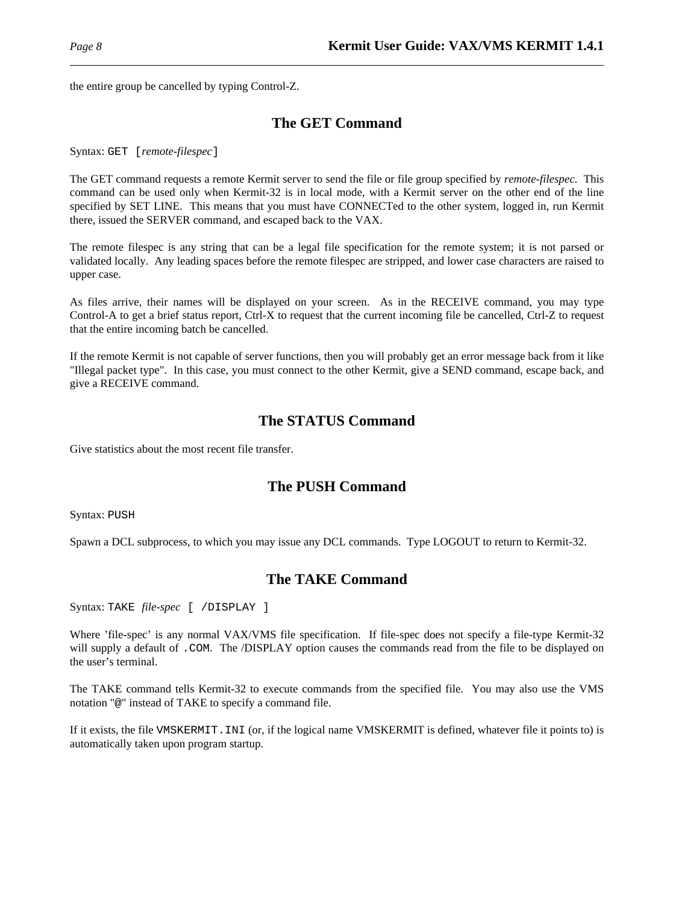the entire group be cancelled by typing Control-Z.

# **The GET Command**

Syntax: GET [*remote-filespec*]

The GET command requests a remote Kermit server to send the file or file group specified by *remote-filespec*. This command can be used only when Kermit-32 is in local mode, with a Kermit server on the other end of the line specified by SET LINE. This means that you must have CONNECTed to the other system, logged in, run Kermit there, issued the SERVER command, and escaped back to the VAX.

The remote filespec is any string that can be a legal file specification for the remote system; it is not parsed or validated locally. Any leading spaces before the remote filespec are stripped, and lower case characters are raised to upper case.

As files arrive, their names will be displayed on your screen. As in the RECEIVE command, you may type Control-A to get a brief status report, Ctrl-X to request that the current incoming file be cancelled, Ctrl-Z to request that the entire incoming batch be cancelled.

If the remote Kermit is not capable of server functions, then you will probably get an error message back from it like "Illegal packet type". In this case, you must connect to the other Kermit, give a SEND command, escape back, and give a RECEIVE command.

# **The STATUS Command**

Give statistics about the most recent file transfer.

# **The PUSH Command**

Syntax: PUSH

Spawn a DCL subprocess, to which you may issue any DCL commands. Type LOGOUT to return to Kermit-32.

# **The TAKE Command**

Syntax: TAKE *file-spec* [ /DISPLAY ]

Where 'file-spec' is any normal VAX/VMS file specification. If file-spec does not specify a file-type Kermit-32 will supply a default of . COM. The /DISPLAY option causes the commands read from the file to be displayed on the user's terminal.

The TAKE command tells Kermit-32 to execute commands from the specified file. You may also use the VMS notation "@" instead of TAKE to specify a command file.

If it exists, the file VMSKERMIT.INI (or, if the logical name VMSKERMIT is defined, whatever file it points to) is automatically taken upon program startup.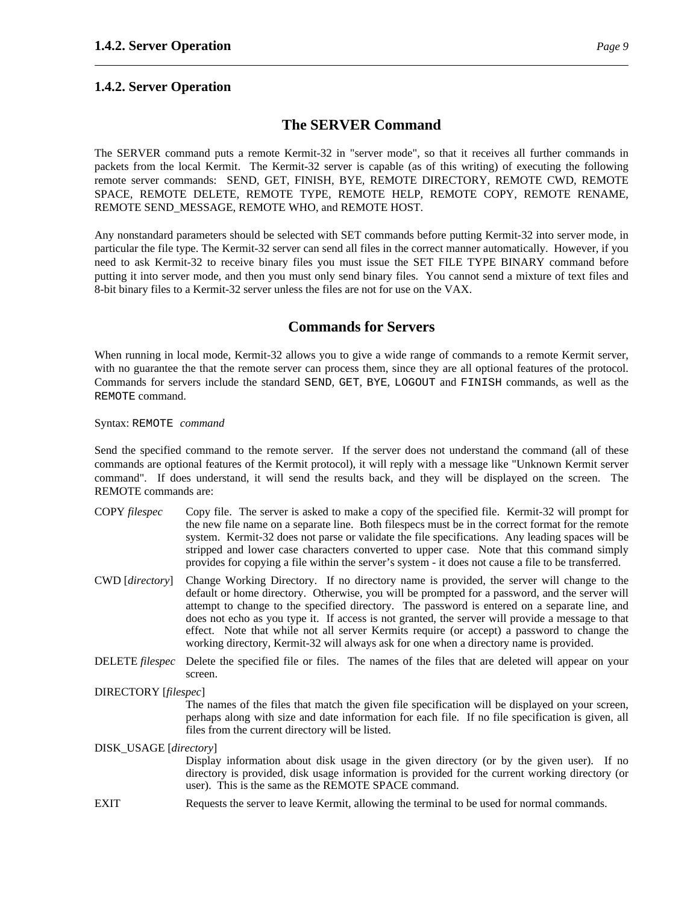# **The SERVER Command**

The SERVER command puts a remote Kermit-32 in "server mode", so that it receives all further commands in packets from the local Kermit. The Kermit-32 server is capable (as of this writing) of executing the following remote server commands: SEND, GET, FINISH, BYE, REMOTE DIRECTORY, REMOTE CWD, REMOTE SPACE, REMOTE DELETE, REMOTE TYPE, REMOTE HELP, REMOTE COPY, REMOTE RENAME, REMOTE SEND MESSAGE, REMOTE WHO, and REMOTE HOST.

Any nonstandard parameters should be selected with SET commands before putting Kermit-32 into server mode, in particular the file type. The Kermit-32 server can send all files in the correct manner automatically. However, if you need to ask Kermit-32 to receive binary files you must issue the SET FILE TYPE BINARY command before putting it into server mode, and then you must only send binary files. You cannot send a mixture of text files and 8-bit binary files to a Kermit-32 server unless the files are not for use on the VAX.

# **Commands for Servers**

When running in local mode, Kermit-32 allows you to give a wide range of commands to a remote Kermit server, with no guarantee the that the remote server can process them, since they are all optional features of the protocol. Commands for servers include the standard SEND, GET, BYE, LOGOUT and FINISH commands, as well as the REMOTE command.

Syntax: REMOTE *command*

Send the specified command to the remote server. If the server does not understand the command (all of these commands are optional features of the Kermit protocol), it will reply with a message like "Unknown Kermit server command". If does understand, it will send the results back, and they will be displayed on the screen. The REMOTE commands are:

- COPY *filespec* Copy file. The server is asked to make a copy of the specified file. Kermit-32 will prompt for the new file name on a separate line. Both filespecs must be in the correct format for the remote system. Kermit-32 does not parse or validate the file specifications. Any leading spaces will be stripped and lower case characters converted to upper case. Note that this command simply provides for copying a file within the server's system - it does not cause a file to be transferred.
- CWD [*directory*] Change Working Directory. If no directory name is provided, the server will change to the default or home directory. Otherwise, you will be prompted for a password, and the server will attempt to change to the specified directory. The password is entered on a separate line, and does not echo as you type it. If access is not granted, the server will provide a message to that effect. Note that while not all server Kermits require (or accept) a password to change the working directory, Kermit-32 will always ask for one when a directory name is provided.
- DELETE *filespec* Delete the specified file or files. The names of the files that are deleted will appear on your screen.
- DIRECTORY [*filespec*]

The names of the files that match the given file specification will be displayed on your screen, perhaps along with size and date information for each file. If no file specification is given, all files from the current directory will be listed.

DISK\_USAGE [*directory*]

Display information about disk usage in the given directory (or by the given user). If no directory is provided, disk usage information is provided for the current working directory (or user). This is the same as the REMOTE SPACE command.

EXIT Requests the server to leave Kermit, allowing the terminal to be used for normal commands.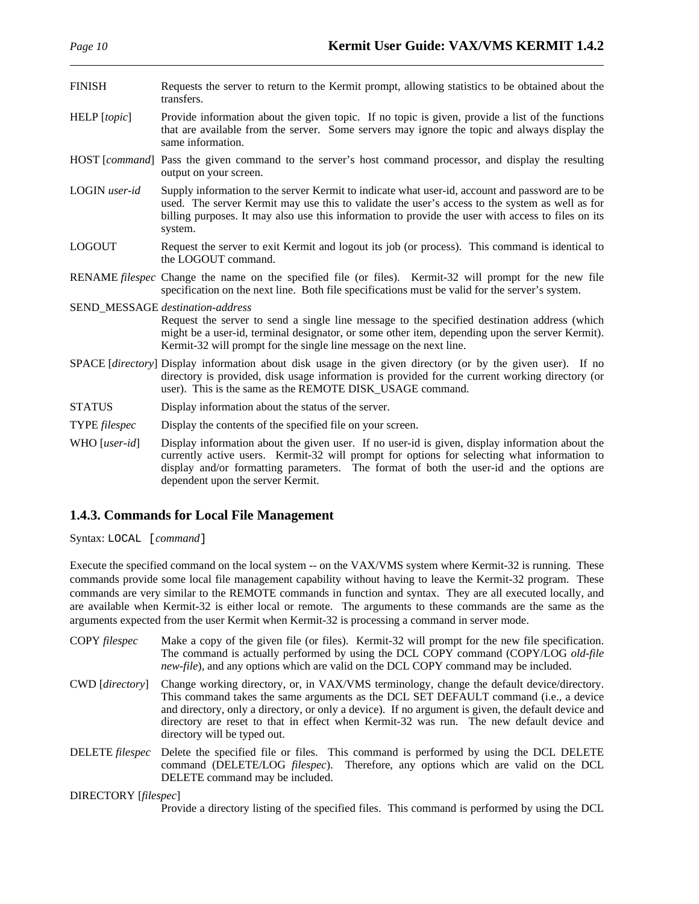| FINISH | Requests the server to return to the Kermit prompt, allowing statistics to be obtained about the |
|--------|--------------------------------------------------------------------------------------------------|
|        | transfers.                                                                                       |

- HELP [*topic*] Provide information about the given topic. If no topic is given, provide a list of the functions that are available from the server. Some servers may ignore the topic and always display the same information.
- HOST [*command*] Pass the given command to the server's host command processor, and display the resulting output on your screen.
- LOGIN *user-id* Supply information to the server Kermit to indicate what user-id, account and password are to be used. The server Kermit may use this to validate the user's access to the system as well as for billing purposes. It may also use this information to provide the user with access to files on its system.
- LOGOUT Request the server to exit Kermit and logout its job (or process). This command is identical to the LOGOUT command.
- RENAME *filespec* Change the name on the specified file (or files). Kermit-32 will prompt for the new file specification on the next line. Both file specifications must be valid for the server's system.

SEND\_MESSAGE *destination-address* Request the server to send a single line message to the specified destination address (which might be a user-id, terminal designator, or some other item, depending upon the server Kermit). Kermit-32 will prompt for the single line message on the next line.

- SPACE [*directory*] Display information about disk usage in the given directory (or by the given user). If no directory is provided, disk usage information is provided for the current working directory (or user). This is the same as the REMOTE DISK\_USAGE command.
- STATUS Display information about the status of the server.
- TYPE *filespec* Display the contents of the specified file on your screen.

WHO [*user-id*] Display information about the given user. If no user-id is given, display information about the currently active users. Kermit-32 will prompt for options for selecting what information to display and/or formatting parameters. The format of both the user-id and the options are dependent upon the server Kermit.

### **1.4.3. Commands for Local File Management**

Syntax: LOCAL [*command*]

Execute the specified command on the local system -- on the VAX/VMS system where Kermit-32 is running. These commands provide some local file management capability without having to leave the Kermit-32 program. These commands are very similar to the REMOTE commands in function and syntax. They are all executed locally, and are available when Kermit-32 is either local or remote. The arguments to these commands are the same as the arguments expected from the user Kermit when Kermit-32 is processing a command in server mode.

| COPY filespec          | Make a copy of the given file (or files). Kermit-32 will prompt for the new file specification.<br>The command is actually performed by using the DCL COPY command (COPY/LOG old-file<br>new-file), and any options which are valid on the DCL COPY command may be included.                                                                                                                                          |
|------------------------|-----------------------------------------------------------------------------------------------------------------------------------------------------------------------------------------------------------------------------------------------------------------------------------------------------------------------------------------------------------------------------------------------------------------------|
| CWD [directory]        | Change working directory, or, in VAX/VMS terminology, change the default device/directory.<br>This command takes the same arguments as the DCL SET DEFAULT command (i.e., a device<br>and directory, only a directory, or only a device). If no argument is given, the default device and<br>directory are reset to that in effect when Kermit-32 was run. The new default device and<br>directory will be typed out. |
| <b>DELETE</b> filespec | Delete the specified file or files. This command is performed by using the DCL DELETE<br>command (DELETE/LOG <i>filespec</i> ). Therefore, any options which are valid on the DCL<br>DELETE command may be included.                                                                                                                                                                                                  |
| DIRECTORY [filespec]   |                                                                                                                                                                                                                                                                                                                                                                                                                       |

Provide a directory listing of the specified files. This command is performed by using the DCL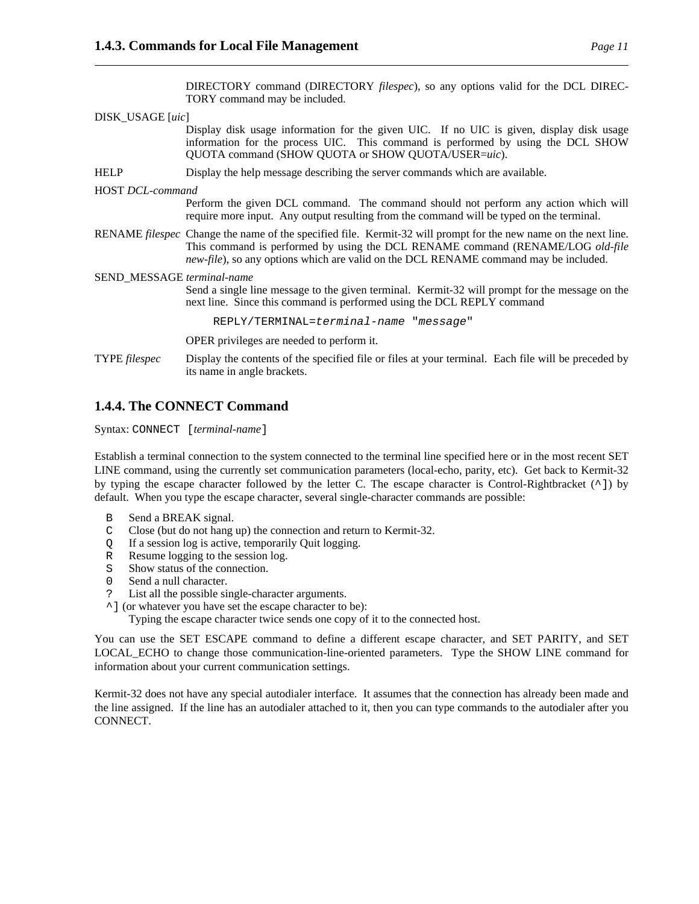DIRECTORY command (DIRECTORY *filespec*), so any options valid for the DCL DIREC-TORY command may be included.

DISK\_USAGE [*uic*] Display disk usage information for the given UIC. If no UIC is given, display disk usage information for the process UIC. This command is performed by using the DCL SHOW QUOTA command (SHOW QUOTA or SHOW QUOTA/USER=*uic*). HELP Display the help message describing the server commands which are available. HOST *DCL-command* Perform the given DCL command. The command should not perform any action which will require more input. Any output resulting from the command will be typed on the terminal. RENAME *filespec* Change the name of the specified file. Kermit-32 will prompt for the new name on the next line. This command is performed by using the DCL RENAME command (RENAME/LOG *old-file new-file*), so any options which are valid on the DCL RENAME command may be included. SEND\_MESSAGE *terminal-name* Send a single line message to the given terminal. Kermit-32 will prompt for the message on the next line. Since this command is performed using the DCL REPLY command REPLY/TERMINAL=terminal-name "message" OPER privileges are needed to perform it. TYPE *filespec* Display the contents of the specified file or files at your terminal. Each file will be preceded by its name in angle brackets.

### **1.4.4. The CONNECT Command**

Syntax: CONNECT [*terminal-name*]

Establish a terminal connection to the system connected to the terminal line specified here or in the most recent SET LINE command, using the currently set communication parameters (local-echo, parity, etc). Get back to Kermit-32 by typing the escape character followed by the letter C. The escape character is Control-Rightbracket (^]) by default. When you type the escape character, several single-character commands are possible:

- B Send a BREAK signal.
- C Close (but do not hang up) the connection and return to Kermit-32.
- Q If a session log is active, temporarily Quit logging.
- R Resume logging to the session log.
- S Show status of the connection.
- 0 Send a null character.
- ? List all the possible single-character arguments.
- ^] (or whatever you have set the escape character to be):

Typing the escape character twice sends one copy of it to the connected host.

You can use the SET ESCAPE command to define a different escape character, and SET PARITY, and SET LOCAL\_ECHO to change those communication-line-oriented parameters. Type the SHOW LINE command for information about your current communication settings.

Kermit-32 does not have any special autodialer interface. It assumes that the connection has already been made and the line assigned. If the line has an autodialer attached to it, then you can type commands to the autodialer after you CONNECT.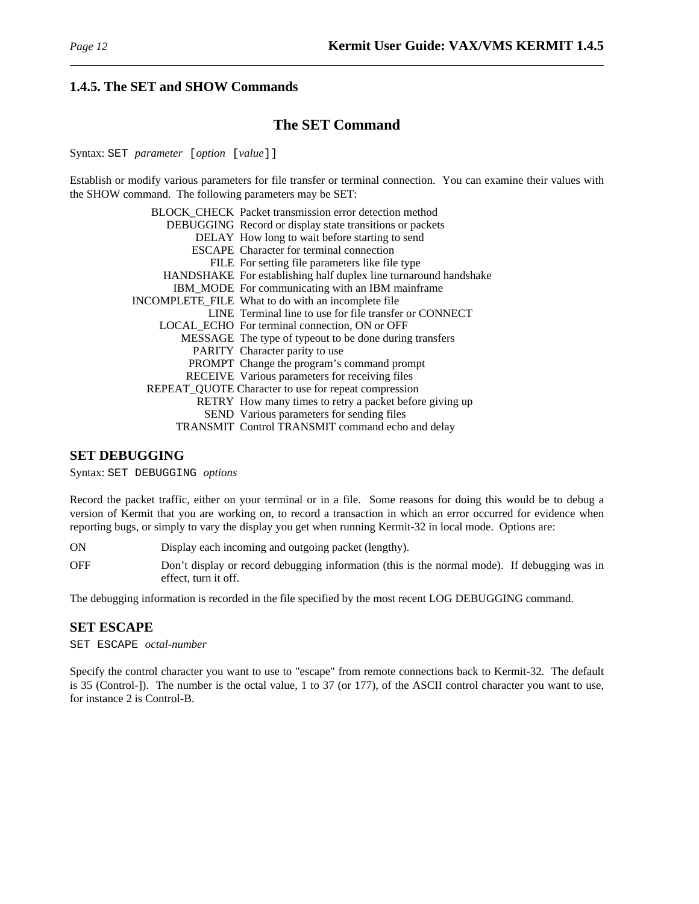### **1.4.5. The SET and SHOW Commands**

# **The SET Command**

Syntax: SET *parameter* [*option* [*value*]]

Establish or modify various parameters for file transfer or terminal connection. You can examine their values with the SHOW command. The following parameters may be SET:

| BLOCK_CHECK_Packet transmission error detection method           |
|------------------------------------------------------------------|
| DEBUGGING Record or display state transitions or packets         |
| DELAY How long to wait before starting to send                   |
| <b>ESCAPE</b> Character for terminal connection                  |
| FILE For setting file parameters like file type                  |
| HANDSHAKE For establishing half duplex line turnaround handshake |
| IBM_MODE For communicating with an IBM mainframe                 |
| INCOMPLETE_FILE What to do with an incomplete file               |
| LINE Terminal line to use for file transfer or CONNECT           |
| LOCAL_ECHO For terminal connection, ON or OFF                    |
| MESSAGE The type of typeout to be done during transfers          |
| PARITY Character parity to use                                   |
| PROMPT Change the program's command prompt                       |
| RECEIVE Various parameters for receiving files                   |
| REPEAT_QUOTE Character to use for repeat compression             |
| RETRY How many times to retry a packet before giving up          |
| SEND Various parameters for sending files                        |
| TRANSMIT Control TRANSMIT command echo and delay                 |

#### **SET DEBUGGING**

Syntax: SET DEBUGGING *options*

Record the packet traffic, either on your terminal or in a file. Some reasons for doing this would be to debug a version of Kermit that you are working on, to record a transaction in which an error occurred for evidence when reporting bugs, or simply to vary the display you get when running Kermit-32 in local mode. Options are:

ON Display each incoming and outgoing packet (lengthy).

OFF Don't display or record debugging information (this is the normal mode). If debugging was in effect, turn it off.

The debugging information is recorded in the file specified by the most recent LOG DEBUGGING command.

### **SET ESCAPE**

SET ESCAPE *octal-number*

Specify the control character you want to use to "escape" from remote connections back to Kermit-32. The default is 35 (Control-]). The number is the octal value, 1 to 37 (or 177), of the ASCII control character you want to use, for instance 2 is Control-B.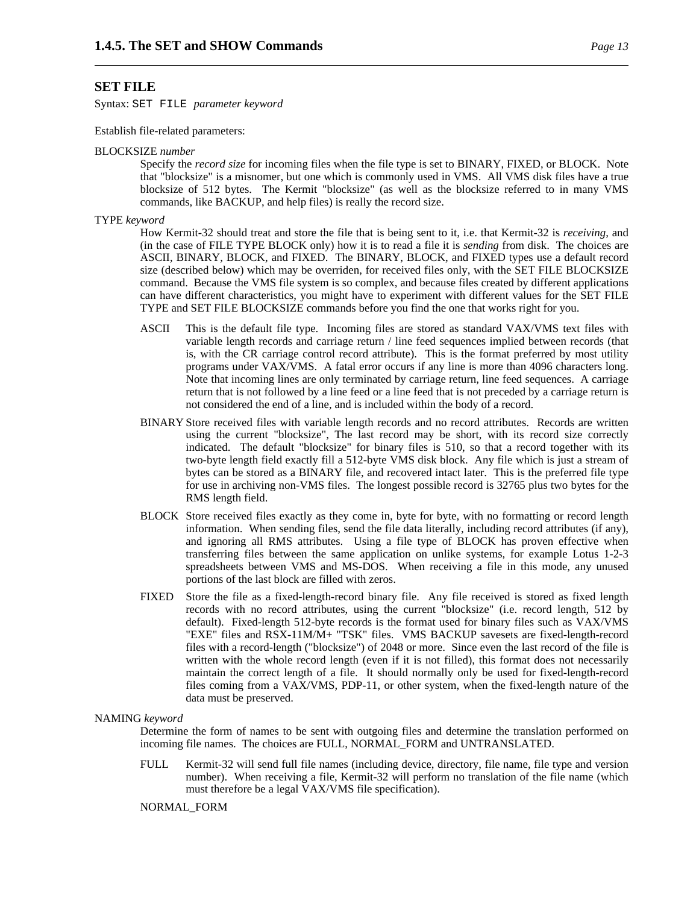#### **SET FILE**

Syntax: SET FILE *parameter keyword*

Establish file-related parameters:

#### BLOCKSIZE *number*

Specify the *record size* for incoming files when the file type is set to BINARY, FIXED, or BLOCK. Note that "blocksize" is a misnomer, but one which is commonly used in VMS. All VMS disk files have a true blocksize of 512 bytes. The Kermit "blocksize" (as well as the blocksize referred to in many VMS commands, like BACKUP, and help files) is really the record size.

#### TYPE *keyword*

How Kermit-32 should treat and store the file that is being sent to it, i.e. that Kermit-32 is *receiving*, and (in the case of FILE TYPE BLOCK only) how it is to read a file it is *sending* from disk. The choices are ASCII, BINARY, BLOCK, and FIXED. The BINARY, BLOCK, and FIXED types use a default record size (described below) which may be overriden, for received files only, with the SET FILE BLOCKSIZE command. Because the VMS file system is so complex, and because files created by different applications can have different characteristics, you might have to experiment with different values for the SET FILE TYPE and SET FILE BLOCKSIZE commands before you find the one that works right for you.

- ASCII This is the default file type. Incoming files are stored as standard VAX/VMS text files with variable length records and carriage return / line feed sequences implied between records (that is, with the CR carriage control record attribute). This is the format preferred by most utility programs under VAX/VMS. A fatal error occurs if any line is more than 4096 characters long. Note that incoming lines are only terminated by carriage return, line feed sequences. A carriage return that is not followed by a line feed or a line feed that is not preceded by a carriage return is not considered the end of a line, and is included within the body of a record.
- BINARY Store received files with variable length records and no record attributes. Records are written using the current "blocksize", The last record may be short, with its record size correctly indicated. The default "blocksize" for binary files is 510, so that a record together with its two-byte length field exactly fill a 512-byte VMS disk block. Any file which is just a stream of bytes can be stored as a BINARY file, and recovered intact later. This is the preferred file type for use in archiving non-VMS files. The longest possible record is 32765 plus two bytes for the RMS length field.
- BLOCK Store received files exactly as they come in, byte for byte, with no formatting or record length information. When sending files, send the file data literally, including record attributes (if any), and ignoring all RMS attributes. Using a file type of BLOCK has proven effective when transferring files between the same application on unlike systems, for example Lotus 1-2-3 spreadsheets between VMS and MS-DOS. When receiving a file in this mode, any unused portions of the last block are filled with zeros.
- FIXED Store the file as a fixed-length-record binary file. Any file received is stored as fixed length records with no record attributes, using the current "blocksize" (i.e. record length, 512 by default). Fixed-length 512-byte records is the format used for binary files such as VAX/VMS "EXE" files and RSX-11M/M+ "TSK" files. VMS BACKUP savesets are fixed-length-record files with a record-length ("blocksize") of 2048 or more. Since even the last record of the file is written with the whole record length (even if it is not filled), this format does not necessarily maintain the correct length of a file. It should normally only be used for fixed-length-record files coming from a VAX/VMS, PDP-11, or other system, when the fixed-length nature of the data must be preserved.

#### NAMING *keyword*

Determine the form of names to be sent with outgoing files and determine the translation performed on incoming file names. The choices are FULL, NORMAL\_FORM and UNTRANSLATED.

FULL Kermit-32 will send full file names (including device, directory, file name, file type and version number). When receiving a file, Kermit-32 will perform no translation of the file name (which must therefore be a legal VAX/VMS file specification).

NORMAL\_FORM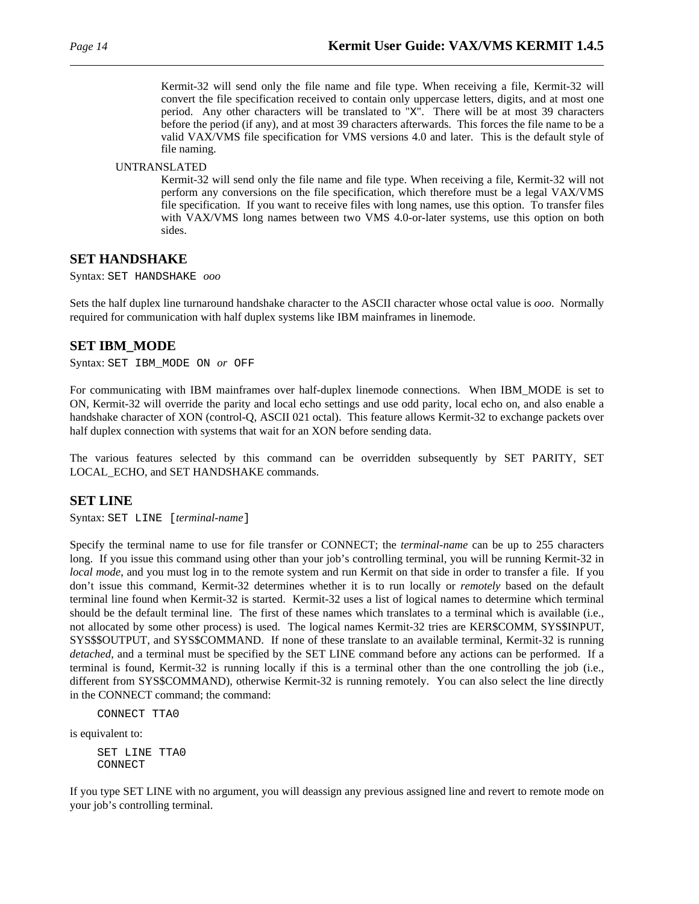Kermit-32 will send only the file name and file type. When receiving a file, Kermit-32 will convert the file specification received to contain only uppercase letters, digits, and at most one period. Any other characters will be translated to "X". There will be at most 39 characters before the period (if any), and at most 39 characters afterwards. This forces the file name to be a valid VAX/VMS file specification for VMS versions 4.0 and later. This is the default style of file naming.

UNTRANSLATED

Kermit-32 will send only the file name and file type. When receiving a file, Kermit-32 will not perform any conversions on the file specification, which therefore must be a legal VAX/VMS file specification. If you want to receive files with long names, use this option. To transfer files with VAX/VMS long names between two VMS 4.0-or-later systems, use this option on both sides.

#### **SET HANDSHAKE**

Syntax: SET HANDSHAKE *ooo*

Sets the half duplex line turnaround handshake character to the ASCII character whose octal value is *ooo*. Normally required for communication with half duplex systems like IBM mainframes in linemode.

### **SET IBM\_MODE**

Syntax: SET IBM\_MODE ON *or* OFF

For communicating with IBM mainframes over half-duplex linemode connections. When IBM\_MODE is set to ON, Kermit-32 will override the parity and local echo settings and use odd parity, local echo on, and also enable a handshake character of XON (control-Q, ASCII 021 octal). This feature allows Kermit-32 to exchange packets over half duplex connection with systems that wait for an XON before sending data.

The various features selected by this command can be overridden subsequently by SET PARITY, SET LOCAL\_ECHO, and SET HANDSHAKE commands.

#### **SET LINE**

Syntax: SET LINE [*terminal-name*]

Specify the terminal name to use for file transfer or CONNECT; the *terminal-name* can be up to 255 characters long. If you issue this command using other than your job's controlling terminal, you will be running Kermit-32 in *local mode*, and you must log in to the remote system and run Kermit on that side in order to transfer a file. If you don't issue this command, Kermit-32 determines whether it is to run locally or *remotely* based on the default terminal line found when Kermit-32 is started. Kermit-32 uses a list of logical names to determine which terminal should be the default terminal line. The first of these names which translates to a terminal which is available (i.e., not allocated by some other process) is used. The logical names Kermit-32 tries are KER\$COMM, SYS\$INPUT, SYS\$\$OUTPUT, and SYS\$COMMAND. If none of these translate to an available terminal, Kermit-32 is running *detached*, and a terminal must be specified by the SET LINE command before any actions can be performed. If a terminal is found, Kermit-32 is running locally if this is a terminal other than the one controlling the job (i.e., different from SYS\$COMMAND), otherwise Kermit-32 is running remotely. You can also select the line directly in the CONNECT command; the command:

CONNECT TTA0

is equivalent to:

SET LINE TTA0 CONNECT

If you type SET LINE with no argument, you will deassign any previous assigned line and revert to remote mode on your job's controlling terminal.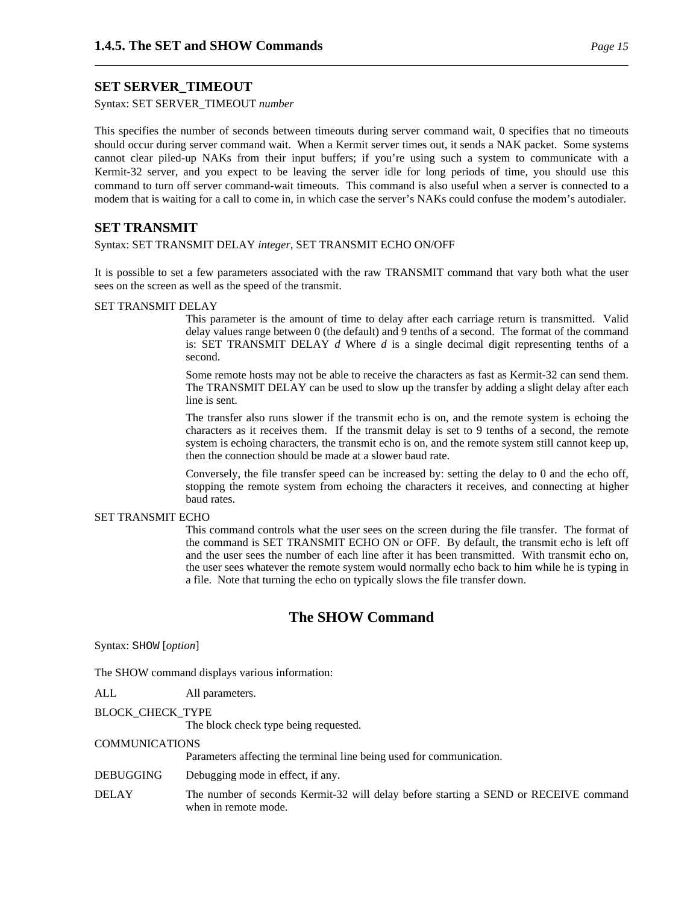# **SET SERVER\_TIMEOUT**

Syntax: SET SERVER\_TIMEOUT *number*

This specifies the number of seconds between timeouts during server command wait, 0 specifies that no timeouts should occur during server command wait. When a Kermit server times out, it sends a NAK packet. Some systems cannot clear piled-up NAKs from their input buffers; if you're using such a system to communicate with a Kermit-32 server, and you expect to be leaving the server idle for long periods of time, you should use this command to turn off server command-wait timeouts. This command is also useful when a server is connected to a modem that is waiting for a call to come in, in which case the server's NAKs could confuse the modem's autodialer.

# **SET TRANSMIT**

Syntax: SET TRANSMIT DELAY *integer*, SET TRANSMIT ECHO ON/OFF

It is possible to set a few parameters associated with the raw TRANSMIT command that vary both what the user sees on the screen as well as the speed of the transmit.

#### SET TRANSMIT DELAY

This parameter is the amount of time to delay after each carriage return is transmitted. Valid delay values range between 0 (the default) and 9 tenths of a second. The format of the command is: SET TRANSMIT DELAY *d* Where *d* is a single decimal digit representing tenths of a second.

Some remote hosts may not be able to receive the characters as fast as Kermit-32 can send them. The TRANSMIT DELAY can be used to slow up the transfer by adding a slight delay after each line is sent.

The transfer also runs slower if the transmit echo is on, and the remote system is echoing the characters as it receives them. If the transmit delay is set to 9 tenths of a second, the remote system is echoing characters, the transmit echo is on, and the remote system still cannot keep up, then the connection should be made at a slower baud rate.

Conversely, the file transfer speed can be increased by: setting the delay to 0 and the echo off, stopping the remote system from echoing the characters it receives, and connecting at higher baud rates.

#### SET TRANSMIT ECHO

This command controls what the user sees on the screen during the file transfer. The format of the command is SET TRANSMIT ECHO ON or OFF. By default, the transmit echo is left off and the user sees the number of each line after it has been transmitted. With transmit echo on, the user sees whatever the remote system would normally echo back to him while he is typing in a file. Note that turning the echo on typically slows the file transfer down.

# **The SHOW Command**

Syntax: SHOW [*option*]

The SHOW command displays various information:

ALL All parameters.

BLOCK\_CHECK\_TYPE

The block check type being requested.

#### COMMUNICATIONS

Parameters affecting the terminal line being used for communication.

- DEBUGGING Debugging mode in effect, if any.
- DELAY The number of seconds Kermit-32 will delay before starting a SEND or RECEIVE command when in remote mode.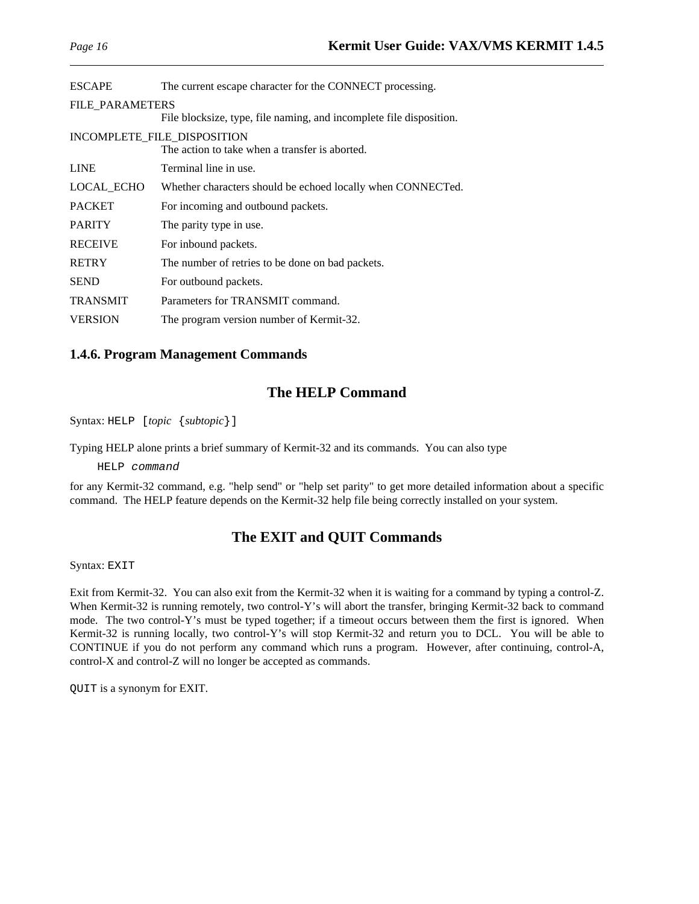| <b>ESCAPE</b>                                                                 | The current escape character for the CONNECT processing.            |
|-------------------------------------------------------------------------------|---------------------------------------------------------------------|
| <b>FILE PARAMETERS</b>                                                        | File blocksize, type, file naming, and incomplete file disposition. |
| INCOMPLETE FILE DISPOSITION<br>The action to take when a transfer is aborted. |                                                                     |
| <b>LINE</b>                                                                   | Terminal line in use.                                               |
| LOCAL_ECHO                                                                    | Whether characters should be echoed locally when CONNECTed.         |
| <b>PACKET</b>                                                                 | For incoming and outbound packets.                                  |
| <b>PARITY</b>                                                                 | The parity type in use.                                             |
| <b>RECEIVE</b>                                                                | For inbound packets.                                                |
| <b>RETRY</b>                                                                  | The number of retries to be done on bad packets.                    |
| <b>SEND</b>                                                                   | For outbound packets.                                               |
| <b>TRANSMIT</b>                                                               | Parameters for TRANSMIT command.                                    |
| <b>VERSION</b>                                                                | The program version number of Kermit-32.                            |

#### **1.4.6. Program Management Commands**

# **The HELP Command**

Syntax: HELP [*topic* {*subtopic*}]

Typing HELP alone prints a brief summary of Kermit-32 and its commands. You can also type

HELP command

for any Kermit-32 command, e.g. "help send" or "help set parity" to get more detailed information about a specific command. The HELP feature depends on the Kermit-32 help file being correctly installed on your system.

# **The EXIT and QUIT Commands**

Syntax: EXIT

Exit from Kermit-32. You can also exit from the Kermit-32 when it is waiting for a command by typing a control-Z. When Kermit-32 is running remotely, two control-Y's will abort the transfer, bringing Kermit-32 back to command mode. The two control-Y's must be typed together; if a timeout occurs between them the first is ignored. When Kermit-32 is running locally, two control-Y's will stop Kermit-32 and return you to DCL. You will be able to CONTINUE if you do not perform any command which runs a program. However, after continuing, control-A, control-X and control-Z will no longer be accepted as commands.

QUIT is a synonym for EXIT.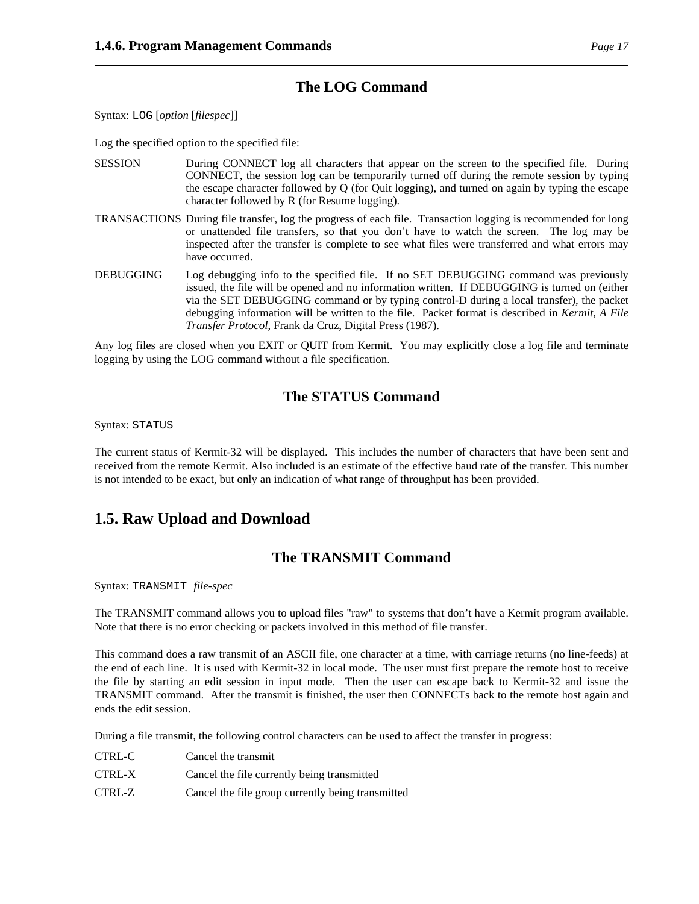# **The LOG Command**

Syntax: LOG [*option* [*filespec*]]

Log the specified option to the specified file:

- SESSION During CONNECT log all characters that appear on the screen to the specified file. During CONNECT, the session log can be temporarily turned off during the remote session by typing the escape character followed by Q (for Quit logging), and turned on again by typing the escape character followed by R (for Resume logging).
- TRANSACTIONS During file transfer, log the progress of each file. Transaction logging is recommended for long or unattended file transfers, so that you don't have to watch the screen. The log may be inspected after the transfer is complete to see what files were transferred and what errors may have occurred.
- DEBUGGING Log debugging info to the specified file. If no SET DEBUGGING command was previously issued, the file will be opened and no information written. If DEBUGGING is turned on (either via the SET DEBUGGING command or by typing control-D during a local transfer), the packet debugging information will be written to the file. Packet format is described in *Kermit, A File Transfer Protocol*, Frank da Cruz, Digital Press (1987).

Any log files are closed when you EXIT or QUIT from Kermit. You may explicitly close a log file and terminate logging by using the LOG command without a file specification.

# **The STATUS Command**

Syntax: STATUS

The current status of Kermit-32 will be displayed. This includes the number of characters that have been sent and received from the remote Kermit. Also included is an estimate of the effective baud rate of the transfer. This number is not intended to be exact, but only an indication of what range of throughput has been provided.

# **1.5. Raw Upload and Download**

# **The TRANSMIT Command**

Syntax: TRANSMIT *file-spec*

The TRANSMIT command allows you to upload files "raw" to systems that don't have a Kermit program available. Note that there is no error checking or packets involved in this method of file transfer.

This command does a raw transmit of an ASCII file, one character at a time, with carriage returns (no line-feeds) at the end of each line. It is used with Kermit-32 in local mode. The user must first prepare the remote host to receive the file by starting an edit session in input mode. Then the user can escape back to Kermit-32 and issue the TRANSMIT command. After the transmit is finished, the user then CONNECTs back to the remote host again and ends the edit session.

During a file transmit, the following control characters can be used to affect the transfer in progress:

| CTRL-C | Cancel the transmit                               |
|--------|---------------------------------------------------|
| CTRL-X | Cancel the file currently being transmitted       |
| CTRL-Z | Cancel the file group currently being transmitted |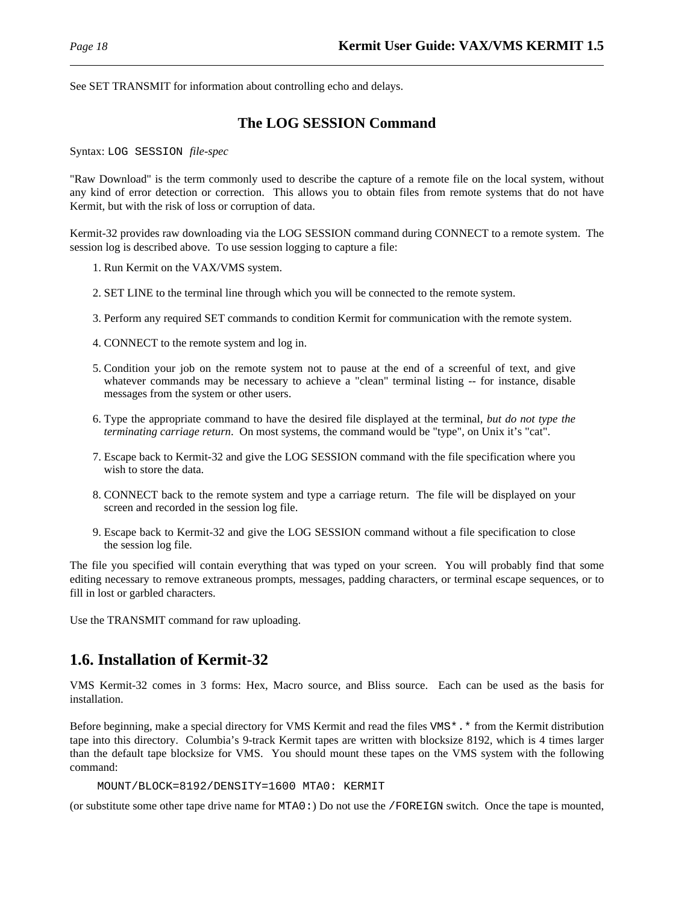See SET TRANSMIT for information about controlling echo and delays.

# **The LOG SESSION Command**

Syntax: LOG SESSION *file-spec*

"Raw Download" is the term commonly used to describe the capture of a remote file on the local system, without any kind of error detection or correction. This allows you to obtain files from remote systems that do not have Kermit, but with the risk of loss or corruption of data.

Kermit-32 provides raw downloading via the LOG SESSION command during CONNECT to a remote system. The session log is described above. To use session logging to capture a file:

- 1. Run Kermit on the VAX/VMS system.
- 2. SET LINE to the terminal line through which you will be connected to the remote system.
- 3. Perform any required SET commands to condition Kermit for communication with the remote system.
- 4. CONNECT to the remote system and log in.
- 5. Condition your job on the remote system not to pause at the end of a screenful of text, and give whatever commands may be necessary to achieve a "clean" terminal listing -- for instance, disable messages from the system or other users.
- 6. Type the appropriate command to have the desired file displayed at the terminal, *but do not type the terminating carriage return*. On most systems, the command would be "type", on Unix it's "cat".
- 7. Escape back to Kermit-32 and give the LOG SESSION command with the file specification where you wish to store the data.
- 8. CONNECT back to the remote system and type a carriage return. The file will be displayed on your screen and recorded in the session log file.
- 9. Escape back to Kermit-32 and give the LOG SESSION command without a file specification to close the session log file.

The file you specified will contain everything that was typed on your screen. You will probably find that some editing necessary to remove extraneous prompts, messages, padding characters, or terminal escape sequences, or to fill in lost or garbled characters.

Use the TRANSMIT command for raw uploading.

# **1.6. Installation of Kermit-32**

VMS Kermit-32 comes in 3 forms: Hex, Macro source, and Bliss source. Each can be used as the basis for installation.

Before beginning, make a special directory for VMS Kermit and read the files VMS\*.\* from the Kermit distribution tape into this directory. Columbia's 9-track Kermit tapes are written with blocksize 8192, which is 4 times larger than the default tape blocksize for VMS. You should mount these tapes on the VMS system with the following command:

```
MOUNT/BLOCK=8192/DENSITY=1600 MTA0: KERMIT
```
(or substitute some other tape drive name for MTA0:) Do not use the /FOREIGN switch. Once the tape is mounted,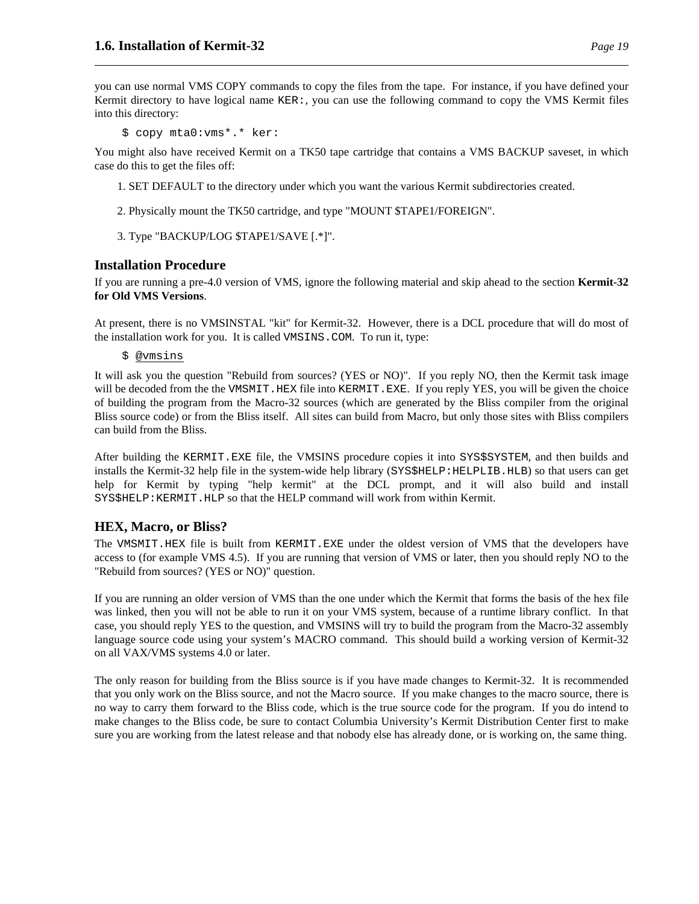you can use normal VMS COPY commands to copy the files from the tape. For instance, if you have defined your Kermit directory to have logical name KER:, you can use the following command to copy the VMS Kermit files into this directory:

\$ copy mta0:vms\*.\* ker:

You might also have received Kermit on a TK50 tape cartridge that contains a VMS BACKUP saveset, in which case do this to get the files off:

1. SET DEFAULT to the directory under which you want the various Kermit subdirectories created.

- 2. Physically mount the TK50 cartridge, and type "MOUNT \$TAPE1/FOREIGN".
- 3. Type "BACKUP/LOG \$TAPE1/SAVE [.\*]".

#### **Installation Procedure**

If you are running a pre-4.0 version of VMS, ignore the following material and skip ahead to the section **Kermit-32 for Old VMS Versions**.

At present, there is no VMSINSTAL "kit" for Kermit-32. However, there is a DCL procedure that will do most of the installation work for you. It is called VMSINS.COM. To run it, type:

\$ @vmsins

It will ask you the question "Rebuild from sources? (YES or NO)". If you reply NO, then the Kermit task image will be decoded from the the VMSMIT.HEX file into KERMIT.EXE. If you reply YES, you will be given the choice of building the program from the Macro-32 sources (which are generated by the Bliss compiler from the original Bliss source code) or from the Bliss itself. All sites can build from Macro, but only those sites with Bliss compilers can build from the Bliss.

After building the KERMIT.EXE file, the VMSINS procedure copies it into SYS\$SYSTEM, and then builds and installs the Kermit-32 help file in the system-wide help library (SYS\$HELP:HELPLIB.HLB) so that users can get help for Kermit by typing "help kermit" at the DCL prompt, and it will also build and install SYS\$HELP:KERMIT.HLP so that the HELP command will work from within Kermit.

### **HEX, Macro, or Bliss?**

The VMSMIT.HEX file is built from KERMIT.EXE under the oldest version of VMS that the developers have access to (for example VMS 4.5). If you are running that version of VMS or later, then you should reply NO to the "Rebuild from sources? (YES or NO)" question.

If you are running an older version of VMS than the one under which the Kermit that forms the basis of the hex file was linked, then you will not be able to run it on your VMS system, because of a runtime library conflict. In that case, you should reply YES to the question, and VMSINS will try to build the program from the Macro-32 assembly language source code using your system's MACRO command. This should build a working version of Kermit-32 on all VAX/VMS systems 4.0 or later.

The only reason for building from the Bliss source is if you have made changes to Kermit-32. It is recommended that you only work on the Bliss source, and not the Macro source. If you make changes to the macro source, there is no way to carry them forward to the Bliss code, which is the true source code for the program. If you do intend to make changes to the Bliss code, be sure to contact Columbia University's Kermit Distribution Center first to make sure you are working from the latest release and that nobody else has already done, or is working on, the same thing.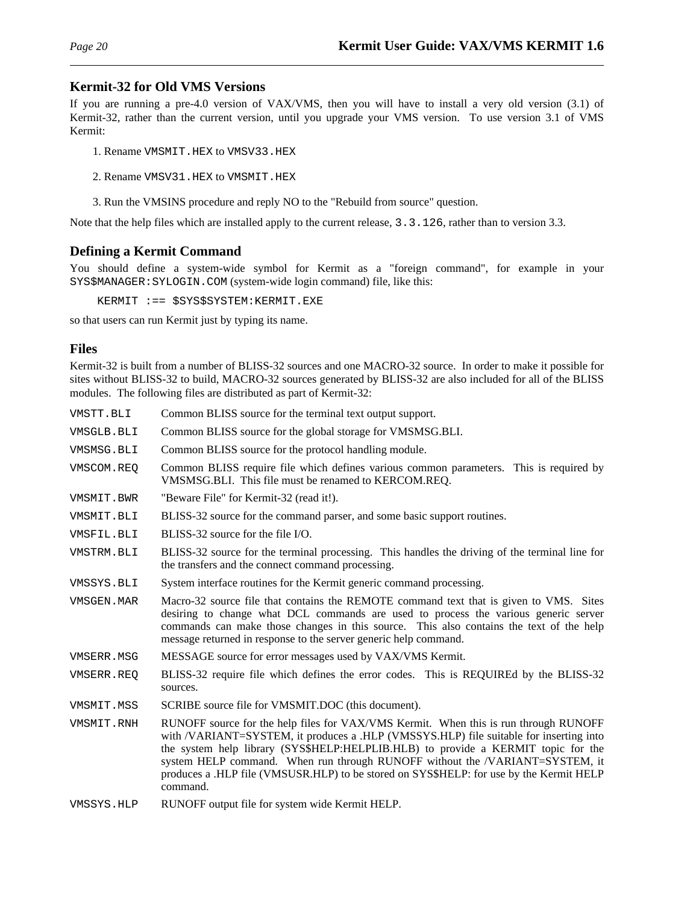### **Kermit-32 for Old VMS Versions**

If you are running a pre-4.0 version of VAX/VMS, then you will have to install a very old version (3.1) of Kermit-32, rather than the current version, until you upgrade your VMS version. To use version 3.1 of VMS Kermit:

- 1. Rename VMSMIT.HEX to VMSV33.HEX
- 2. Rename VMSV31.HEX to VMSMIT.HEX
- 3. Run the VMSINS procedure and reply NO to the "Rebuild from source" question.

Note that the help files which are installed apply to the current release, 3.3.126, rather than to version 3.3.

### **Defining a Kermit Command**

You should define a system-wide symbol for Kermit as a "foreign command", for example in your SYS\$MANAGER:SYLOGIN.COM (system-wide login command) file, like this:

KERMIT :== \$SYS\$SYSTEM:KERMIT.EXE

so that users can run Kermit just by typing its name.

#### **Files**

Kermit-32 is built from a number of BLISS-32 sources and one MACRO-32 source. In order to make it possible for sites without BLISS-32 to build, MACRO-32 sources generated by BLISS-32 are also included for all of the BLISS modules. The following files are distributed as part of Kermit-32:

| VMSTT.BLI  | Common BLISS source for the terminal text output support.                                                                                                                                                                                                                                                                                                                                                                                                  |  |
|------------|------------------------------------------------------------------------------------------------------------------------------------------------------------------------------------------------------------------------------------------------------------------------------------------------------------------------------------------------------------------------------------------------------------------------------------------------------------|--|
| VMSGLB.BLI | Common BLISS source for the global storage for VMSMSG.BLI.                                                                                                                                                                                                                                                                                                                                                                                                 |  |
| VMSMSG.BLI | Common BLISS source for the protocol handling module.                                                                                                                                                                                                                                                                                                                                                                                                      |  |
| VMSCOM.REQ | Common BLISS require file which defines various common parameters. This is required by<br>VMSMSG.BLI. This file must be renamed to KERCOM.REQ.                                                                                                                                                                                                                                                                                                             |  |
| VMSMIT.BWR | "Beware File" for Kermit-32 (read it!).                                                                                                                                                                                                                                                                                                                                                                                                                    |  |
| VMSMIT.BLI | BLISS-32 source for the command parser, and some basic support routines.                                                                                                                                                                                                                                                                                                                                                                                   |  |
| VMSFIL.BLI | BLISS-32 source for the file I/O.                                                                                                                                                                                                                                                                                                                                                                                                                          |  |
| VMSTRM.BLI | BLISS-32 source for the terminal processing. This handles the driving of the terminal line for<br>the transfers and the connect command processing.                                                                                                                                                                                                                                                                                                        |  |
| VMSSYS.BLI | System interface routines for the Kermit generic command processing.                                                                                                                                                                                                                                                                                                                                                                                       |  |
| VMSGEN.MAR | Macro-32 source file that contains the REMOTE command text that is given to VMS. Sites<br>desiring to change what DCL commands are used to process the various generic server<br>commands can make those changes in this source. This also contains the text of the help<br>message returned in response to the server generic help command.                                                                                                               |  |
| VMSERR.MSG | MESSAGE source for error messages used by VAX/VMS Kermit.                                                                                                                                                                                                                                                                                                                                                                                                  |  |
| VMSERR.REO | BLISS-32 require file which defines the error codes. This is REQUIREd by the BLISS-32<br>sources.                                                                                                                                                                                                                                                                                                                                                          |  |
| VMSMIT.MSS | SCRIBE source file for VMSMIT.DOC (this document).                                                                                                                                                                                                                                                                                                                                                                                                         |  |
| VMSMIT.RNH | RUNOFF source for the help files for VAX/VMS Kermit. When this is run through RUNOFF<br>with /VARIANT=SYSTEM, it produces a .HLP (VMSSYS.HLP) file suitable for inserting into<br>the system help library (SYS\$HELP:HELPLIB.HLB) to provide a KERMIT topic for the<br>system HELP command. When run through RUNOFF without the /VARIANT=SYSTEM, it<br>produces a .HLP file (VMSUSR.HLP) to be stored on SYS\$HELP: for use by the Kermit HELP<br>command. |  |
| VMSSYS.HLP | RUNOFF output file for system wide Kermit HELP.                                                                                                                                                                                                                                                                                                                                                                                                            |  |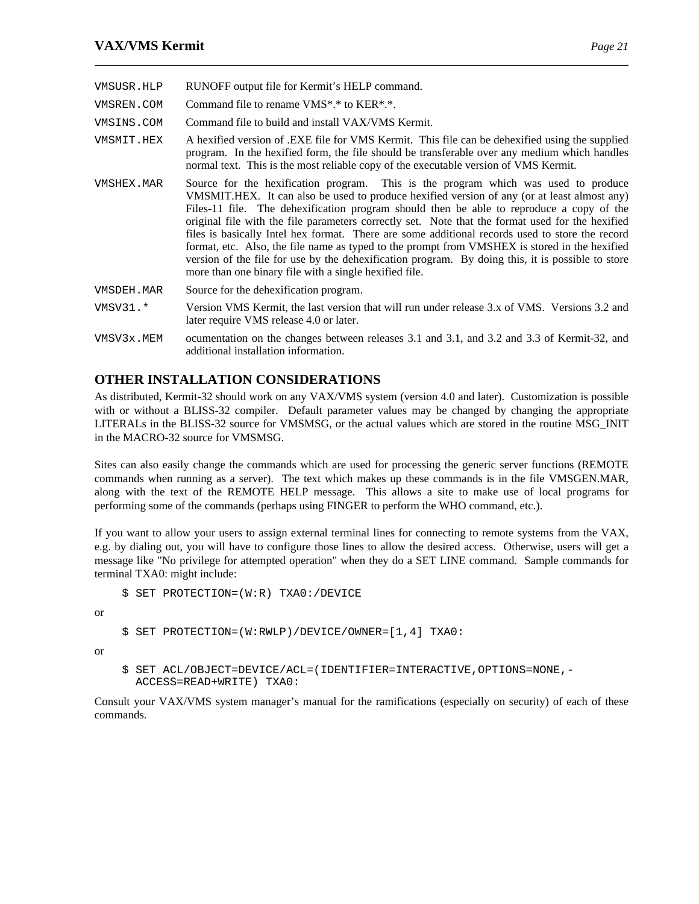- VMSUSR.HLP RUNOFF output file for Kermit's HELP command.
- VMSREN.COM Command file to rename VMS\*.\* to KER\*.\*.
- VMSINS.COM Command file to build and install VAX/VMS Kermit.
- VMSMIT.HEX A hexified version of .EXE file for VMS Kermit. This file can be dehexified using the supplied program. In the hexified form, the file should be transferable over any medium which handles normal text. This is the most reliable copy of the executable version of VMS Kermit.
- VMSHEX.MAR Source for the hexification program. This is the program which was used to produce VMSMIT.HEX. It can also be used to produce hexified version of any (or at least almost any) Files-11 file. The dehexification program should then be able to reproduce a copy of the original file with the file parameters correctly set. Note that the format used for the hexified files is basically Intel hex format. There are some additional records used to store the record format, etc. Also, the file name as typed to the prompt from VMSHEX is stored in the hexified version of the file for use by the dehexification program. By doing this, it is possible to store more than one binary file with a single hexified file.
- VMSDEH.MAR Source for the dehexification program.
- VMSV31.\* Version VMS Kermit, the last version that will run under release 3.x of VMS. Versions 3.2 and later require VMS release 4.0 or later.
- VMSV3x.MEM ocumentation on the changes between releases 3.1 and 3.1, and 3.2 and 3.3 of Kermit-32, and additional installation information.

# **OTHER INSTALLATION CONSIDERATIONS**

As distributed, Kermit-32 should work on any VAX/VMS system (version 4.0 and later). Customization is possible with or without a BLISS-32 compiler. Default parameter values may be changed by changing the appropriate LITERALs in the BLISS-32 source for VMSMSG, or the actual values which are stored in the routine MSG\_INIT in the MACRO-32 source for VMSMSG.

Sites can also easily change the commands which are used for processing the generic server functions (REMOTE commands when running as a server). The text which makes up these commands is in the file VMSGEN.MAR, along with the text of the REMOTE HELP message. This allows a site to make use of local programs for performing some of the commands (perhaps using FINGER to perform the WHO command, etc.).

If you want to allow your users to assign external terminal lines for connecting to remote systems from the VAX, e.g. by dialing out, you will have to configure those lines to allow the desired access. Otherwise, users will get a message like "No privilege for attempted operation" when they do a SET LINE command. Sample commands for terminal TXA0: might include:

```
$ SET PROTECTION=(W:R) TXA0:/DEVICE
```
or

```
$ SET PROTECTION=(W:RWLP)/DEVICE/OWNER=[1,4] TXA0:
```
or

\$ SET ACL/OBJECT=DEVICE/ACL=(IDENTIFIER=INTERACTIVE,OPTIONS=NONE,- ACCESS=READ+WRITE) TXA0:

Consult your VAX/VMS system manager's manual for the ramifications (especially on security) of each of these commands.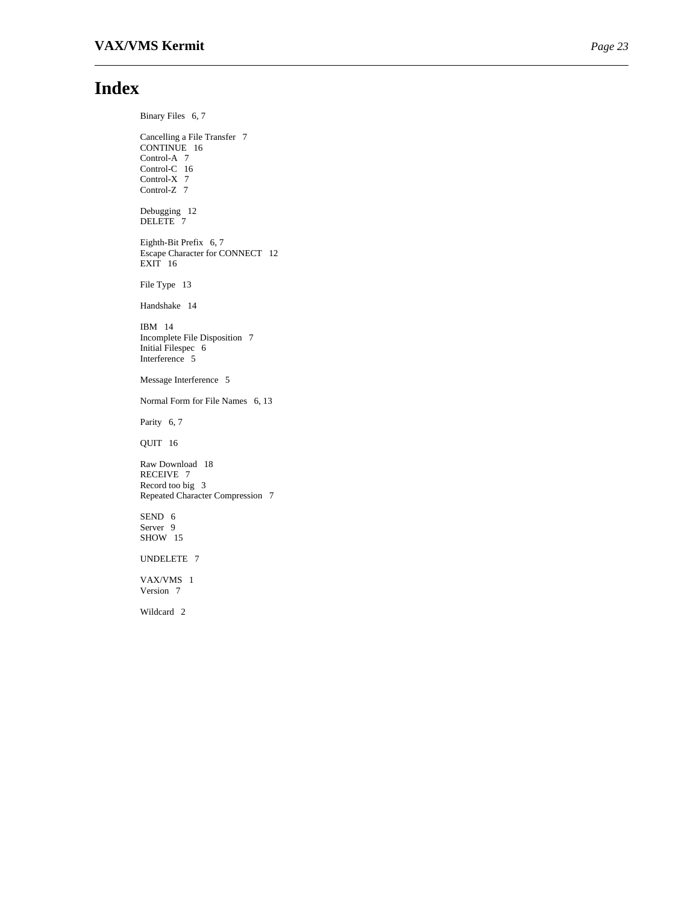# **Index**

Binary Files 6, 7 Cancelling a File Transfer 7 CONTINUE 16 Control-A 7 Control-C 16 Control-X 7 Control-Z 7 Debugging 12 DELETE 7 Eighth-Bit Prefix 6, 7 Escape Character for CONNECT 12  $EXIT$  16 File Type 13 Handshake 14 IBM 14 Incomplete File Disposition 7 Initial Filespec 6 Interference 5 Message Interference 5 Normal Form for File Names 6, 13 Parity 6, 7 QUIT 16 Raw Download 18 RECEIVE 7 Record too big 3 Repeated Character Compression 7 SEND 6 Server 9 SHOW 15 UNDELETE 7 VAX/VMS 1 Version 7 Wildcard 2